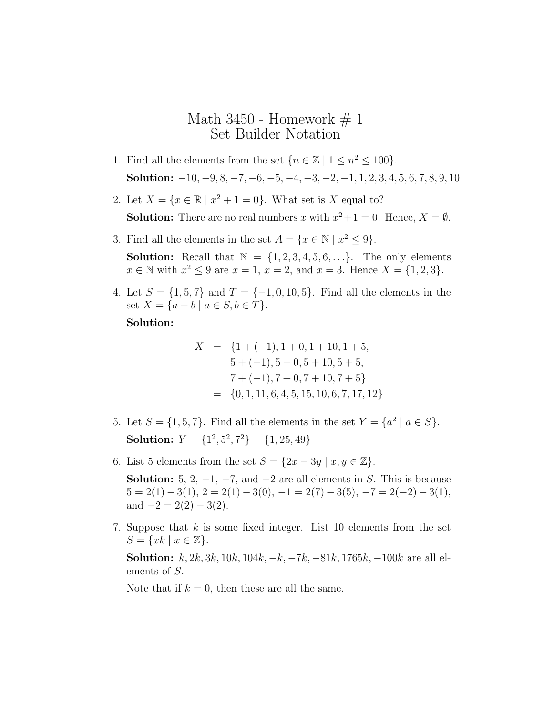## Math 3450 - Homework  $\# 1$ Set Builder Notation

- 1. Find all the elements from the set  $\{n \in \mathbb{Z} \mid 1 \leq n^2 \leq 100\}.$ Solution:  $-10, -9, 8, -7, -6, -5, -4, -3, -2, -1, 1, 2, 3, 4, 5, 6, 7, 8, 9, 10$
- 2. Let  $X = \{x \in \mathbb{R} \mid x^2 + 1 = 0\}$ . What set is X equal to?

**Solution:** There are no real numbers x with  $x^2 + 1 = 0$ . Hence,  $X = \emptyset$ .

- 3. Find all the elements in the set  $A = \{x \in \mathbb{N} \mid x^2 \leq 9\}.$ **Solution:** Recall that  $\mathbb{N} = \{1, 2, 3, 4, 5, 6, \ldots\}$ . The only elements  $x \in \mathbb{N}$  with  $x^2 \le 9$  are  $x = 1$ ,  $x = 2$ , and  $x = 3$ . Hence  $X = \{1, 2, 3\}$ .
- 4. Let  $S = \{1, 5, 7\}$  and  $T = \{-1, 0, 10, 5\}$ . Find all the elements in the set  $X = \{a + b \mid a \in S, b \in T\}.$

## Solution:

$$
X = \{1 + (-1), 1 + 0, 1 + 10, 1 + 5,
$$
  
\n
$$
5 + (-1), 5 + 0, 5 + 10, 5 + 5,
$$
  
\n
$$
7 + (-1), 7 + 0, 7 + 10, 7 + 5\}
$$
  
\n
$$
= \{0, 1, 11, 6, 4, 5, 15, 10, 6, 7, 17, 12\}
$$

- 5. Let  $S = \{1, 5, 7\}$ . Find all the elements in the set  $Y = \{a^2 \mid a \in S\}$ . Solution:  $Y = \{1^2, 5^2, 7^2\} = \{1, 25, 49\}$
- 6. List 5 elements from the set  $S = \{2x 3y \mid x, y \in \mathbb{Z}\}.$

**Solution:** 5, 2, -1, -7, and -2 are all elements in S. This is because  $5 = 2(1) - 3(1), 2 = 2(1) - 3(0), -1 = 2(7) - 3(5), -7 = 2(-2) - 3(1),$ and  $-2 = 2(2) - 3(2)$ .

7. Suppose that k is some fixed integer. List 10 elements from the set  $S = \{xk \mid x \in \mathbb{Z}\}.$ 

**Solution:**  $k, 2k, 3k, 10k, 104k, -k, -7k, -81k, 1765k, -100k$  are all elements of S.

Note that if  $k = 0$ , then these are all the same.